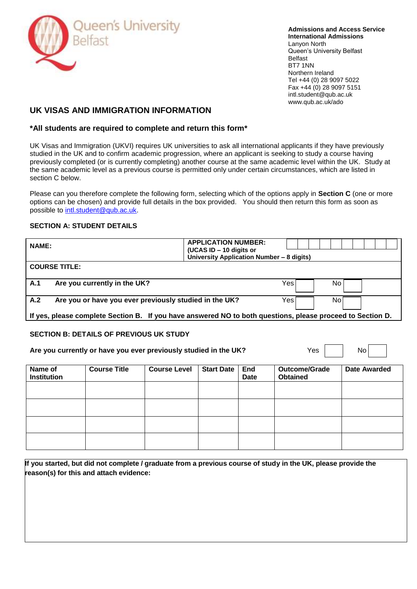

**Admissions and Access Service International Admissions** Lanyon North Queen's University Belfast Belfast BT7 1NN Northern Ireland Tel +44 (0) 28 9097 5022 Fax +44 (0) 28 9097 5151 intl.student@qub.ac.uk www.qub.ac.uk/ado

# **UK VISAS AND IMMIGRATION INFORMATION**

## **\*All students are required to complete and return this form\***

UK Visas and Immigration (UKVI) requires UK universities to ask all international applicants if they have previously studied in the UK and to confirm academic progression, where an applicant is seeking to study a course having previously completed (or is currently completing) another course at the same academic level within the UK. Study at the same academic level as a previous course is permitted only under certain circumstances, which are listed in section C below.

Please can you therefore complete the following form, selecting which of the options apply in **Section C** (one or more options can be chosen) and provide full details in the box provided. You should then return this form as soon as possible to [intl.student@qub.ac.uk.](mailto:intl.student@qub.ac.uk)

## **SECTION A: STUDENT DETAILS**

| <b>NAME:</b>                                                                   |                                                        |                     | <b>APPLICATION NUMBER:</b><br>(UCAS ID - 10 digits or<br>University Application Number - 8 digits) |                    |                                                                                                            |              |
|--------------------------------------------------------------------------------|--------------------------------------------------------|---------------------|----------------------------------------------------------------------------------------------------|--------------------|------------------------------------------------------------------------------------------------------------|--------------|
| <b>COURSE TITLE:</b>                                                           |                                                        |                     |                                                                                                    |                    |                                                                                                            |              |
| A.1                                                                            | Are you currently in the UK?                           |                     |                                                                                                    |                    | Yes<br>No                                                                                                  |              |
| A.2                                                                            | Are you or have you ever previously studied in the UK? |                     |                                                                                                    |                    | Yes<br>Nol                                                                                                 |              |
|                                                                                |                                                        |                     |                                                                                                    |                    | If yes, please complete Section B. If you have answered NO to both questions, please proceed to Section D. |              |
|                                                                                | <b>SECTION B: DETAILS OF PREVIOUS UK STUDY</b>         |                     |                                                                                                    |                    |                                                                                                            |              |
| Yes<br>Are you currently or have you ever previously studied in the UK?<br>No. |                                                        |                     |                                                                                                    |                    |                                                                                                            |              |
| Name of<br><b>Institution</b>                                                  | <b>Course Title</b>                                    | <b>Course Level</b> | <b>Start Date</b>                                                                                  | End<br><b>Date</b> | <b>Outcome/Grade</b><br><b>Obtained</b>                                                                    | Date Awarded |
|                                                                                |                                                        |                     |                                                                                                    |                    |                                                                                                            |              |
|                                                                                |                                                        |                     |                                                                                                    |                    |                                                                                                            |              |
|                                                                                |                                                        |                     |                                                                                                    |                    |                                                                                                            |              |

**If you started, but did not complete / graduate from a previous course of study in the UK, please provide the reason(s) for this and attach evidence:**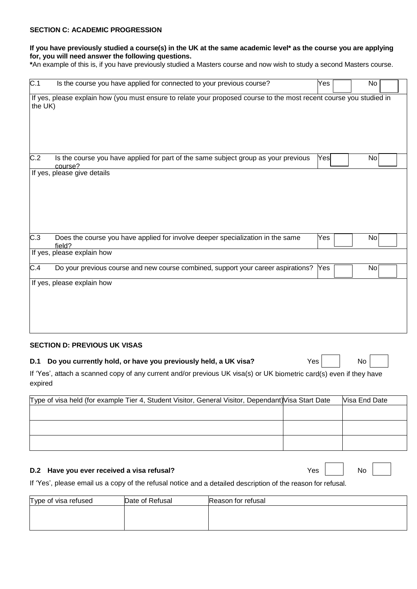#### **SECTION C: ACADEMIC PROGRESSION**

### **If you have previously studied a course(s) in the UK at the same academic level\* as the course you are applying for, you will need answer the following questions.**

**\***An example of this is, if you have previously studied a Masters course and now wish to study a second Masters course.

| C.1              | Is the course you have applied for connected to your previous course?                                               | Yes | No |
|------------------|---------------------------------------------------------------------------------------------------------------------|-----|----|
| the UK)          | If yes, please explain how (you must ensure to relate your proposed course to the most recent course you studied in |     |    |
| $\overline{C.2}$ | Is the course you have applied for part of the same subject group as your previous<br>course?                       | Yes | No |
|                  | If yes, please give details                                                                                         |     |    |
| $\overline{C.3}$ | Does the course you have applied for involve deeper specialization in the same<br>field?                            | Yes | No |
|                  | If yes, please explain how                                                                                          |     |    |
| $\overline{C.4}$ | Do your previous course and new course combined, support your career aspirations?                                   | Yes | No |
|                  | If yes, please explain how                                                                                          |     |    |

#### **SECTION D: PREVIOUS UK VISAS**

| D.1 Do you currently hold, or have you previously held, a UK visa? | Yes | $\overline{N_{\mathcal{O}}}$ |  |  |
|--------------------------------------------------------------------|-----|------------------------------|--|--|
|--------------------------------------------------------------------|-----|------------------------------|--|--|

If 'Yes', attach a scanned copy of any current and/or previous UK visa(s) or UK biometric card(s) even if they have expired

| Type of visa held (for example Tier 4, Student Visitor, General Visitor, Dependant) Visa Start Date | Visa End Date |
|-----------------------------------------------------------------------------------------------------|---------------|
|                                                                                                     |               |
|                                                                                                     |               |
|                                                                                                     |               |
|                                                                                                     |               |
|                                                                                                     |               |

#### **D.2 Have you ever received a visa refusal?** The set of the set of the SNO No No

If 'Yes', please email us a copy of the refusal notice and a detailed description of the reason for refusal.

| Type of visa refused | Date of Refusal | Reason for refusal |
|----------------------|-----------------|--------------------|
|                      |                 |                    |
|                      |                 |                    |
|                      |                 |                    |